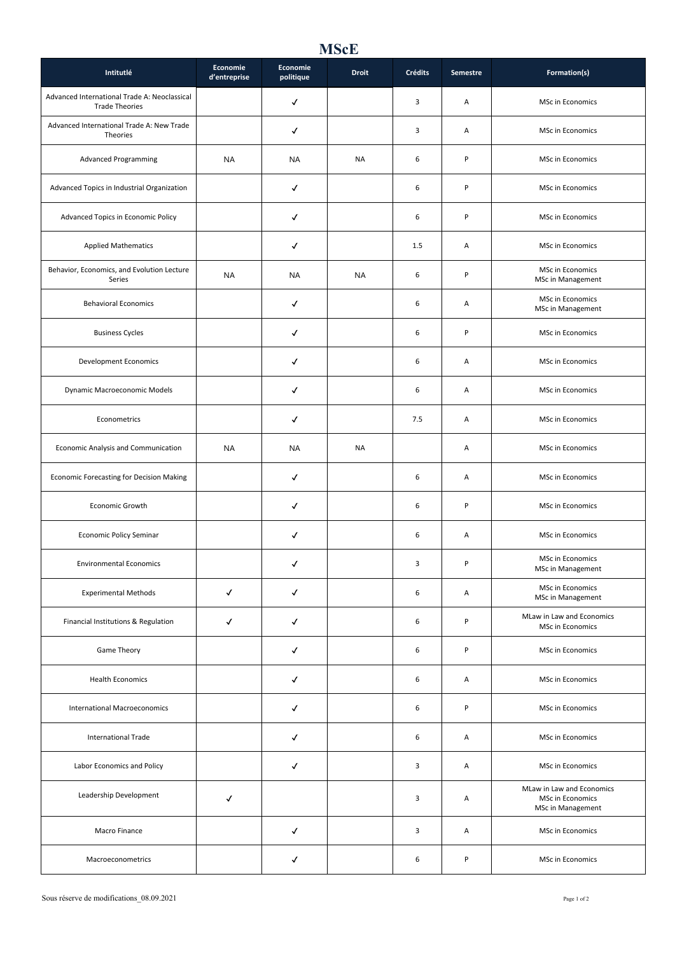## **MScE**

| Intitutlé                                                             | Economie<br>d'entreprise | Economie<br>politique | <b>Droit</b> | Crédits | Semestre | Formation(s)                                                       |
|-----------------------------------------------------------------------|--------------------------|-----------------------|--------------|---------|----------|--------------------------------------------------------------------|
| Advanced International Trade A: Neoclassical<br><b>Trade Theories</b> |                          | ✓                     |              | 3       | Α        | MSc in Economics                                                   |
| Advanced International Trade A: New Trade<br>Theories                 |                          | ✓                     |              | 3       | Α        | MSc in Economics                                                   |
| <b>Advanced Programming</b>                                           | <b>NA</b>                | <b>NA</b>             | <b>NA</b>    | 6       | $\sf P$  | MSc in Economics                                                   |
| Advanced Topics in Industrial Organization                            |                          | ✓                     |              | 6       | $\sf P$  | MSc in Economics                                                   |
| Advanced Topics in Economic Policy                                    |                          | ✓                     |              | 6       | P        | MSc in Economics                                                   |
| <b>Applied Mathematics</b>                                            |                          | √                     |              | 1.5     | Α        | MSc in Economics                                                   |
| Behavior, Economics, and Evolution Lecture<br>Series                  | <b>NA</b>                | <b>NA</b>             | <b>NA</b>    | 6       | P        | MSc in Economics<br>MSc in Management                              |
| <b>Behavioral Economics</b>                                           |                          | ✓                     |              | 6       | Α        | MSc in Economics<br>MSc in Management                              |
| <b>Business Cycles</b>                                                |                          | ✓                     |              | 6       | $\sf P$  | <b>MSc in Economics</b>                                            |
| <b>Development Economics</b>                                          |                          | ✓                     |              | 6       | Α        | MSc in Economics                                                   |
| Dynamic Macroeconomic Models                                          |                          | $\checkmark$          |              | 6       | Α        | MSc in Economics                                                   |
| Econometrics                                                          |                          | √                     |              | 7.5     | Α        | MSc in Economics                                                   |
| Economic Analysis and Communication                                   | <b>NA</b>                | <b>NA</b>             | <b>NA</b>    |         | Α        | MSc in Economics                                                   |
| Economic Forecasting for Decision Making                              |                          | ✓                     |              | 6       | Α        | MSc in Economics                                                   |
| Economic Growth                                                       |                          | $\checkmark$          |              | 6       | P        | MSc in Economics                                                   |
| <b>Economic Policy Seminar</b>                                        |                          | ✓                     |              | 6       | Α        | MSc in Economics                                                   |
| <b>Environmental Economics</b>                                        |                          | ✓                     |              | 3       | P        | MSc in Economics<br>MSc in Management                              |
| <b>Experimental Methods</b>                                           | ✓                        | ✓                     |              | 6       | Α        | MSc in Economics<br>MSc in Management                              |
| Financial Institutions & Regulation                                   | ✓                        | $\checkmark$          |              | 6       | P        | MLaw in Law and Economics<br>MSc in Economics                      |
| Game Theory                                                           |                          | ✓                     |              | 6       | P        | MSc in Economics                                                   |
| <b>Health Economics</b>                                               |                          | ✓                     |              | 6       | Α        | MSc in Economics                                                   |
| International Macroeconomics                                          |                          | ✓                     |              | 6       | P        | <b>MSc in Economics</b>                                            |
| <b>International Trade</b>                                            |                          | $\checkmark$          |              | 6       | Α        | MSc in Economics                                                   |
| Labor Economics and Policy                                            |                          | √                     |              | 3       | Α        | MSc in Economics                                                   |
| Leadership Development                                                | ✓                        |                       |              | 3       | Α        | MLaw in Law and Economics<br>MSc in Economics<br>MSc in Management |
| Macro Finance                                                         |                          | ✓                     |              | 3       | Α        | MSc in Economics                                                   |
| Macroeconometrics                                                     |                          | ✓                     |              | 6       | P        | MSc in Economics                                                   |